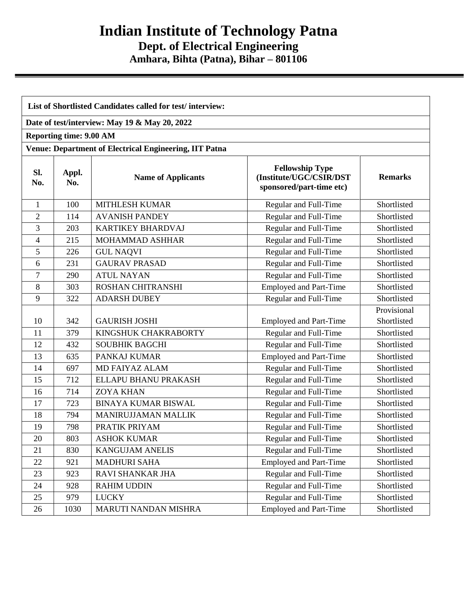## **Indian Institute of Technology Patna Dept. of Electrical Engineering Amhara, Bihta (Patna), Bihar – 801106**

| List of Shortlisted Candidates called for test/interview: |                                |                                                               |                                                                               |                            |
|-----------------------------------------------------------|--------------------------------|---------------------------------------------------------------|-------------------------------------------------------------------------------|----------------------------|
|                                                           |                                | Date of test/interview: May 19 & May 20, 2022                 |                                                                               |                            |
|                                                           | <b>Reporting time: 9.00 AM</b> |                                                               |                                                                               |                            |
|                                                           |                                | <b>Venue: Department of Electrical Engineering, IIT Patna</b> |                                                                               |                            |
| Sl.<br>No.                                                | Appl.<br>No.                   | <b>Name of Applicants</b>                                     | <b>Fellowship Type</b><br>(Institute/UGC/CSIR/DST<br>sponsored/part-time etc) | <b>Remarks</b>             |
| $\mathbf{1}$                                              | 100                            | <b>MITHLESH KUMAR</b>                                         | Regular and Full-Time                                                         | Shortlisted                |
| $\overline{2}$                                            | 114                            | <b>AVANISH PANDEY</b>                                         | Regular and Full-Time                                                         | Shortlisted                |
| 3                                                         | 203                            | <b>KARTIKEY BHARDVAJ</b>                                      | Regular and Full-Time                                                         | Shortlisted                |
| 4                                                         | 215                            | MOHAMMAD ASHHAR                                               | Regular and Full-Time                                                         | Shortlisted                |
| 5                                                         | 226                            | <b>GUL NAQVI</b>                                              | Regular and Full-Time                                                         | Shortlisted                |
| 6                                                         | 231                            | <b>GAURAV PRASAD</b>                                          | Regular and Full-Time                                                         | Shortlisted                |
| $\tau$                                                    | 290                            | <b>ATUL NAYAN</b>                                             | Regular and Full-Time                                                         | Shortlisted                |
| 8                                                         | 303                            | <b>ROSHAN CHITRANSHI</b>                                      | <b>Employed and Part-Time</b>                                                 | Shortlisted                |
| 9                                                         | 322                            | <b>ADARSH DUBEY</b>                                           | Regular and Full-Time                                                         | Shortlisted                |
| 10                                                        | 342                            | <b>GAURISH JOSHI</b>                                          | <b>Employed and Part-Time</b>                                                 | Provisional<br>Shortlisted |
| 11                                                        | 379                            | KINGSHUK CHAKRABORTY                                          | Regular and Full-Time                                                         | Shortlisted                |
| 12                                                        | 432                            | <b>SOUBHIK BAGCHI</b>                                         | Regular and Full-Time                                                         | Shortlisted                |
| 13                                                        | 635                            | PANKAJ KUMAR                                                  | <b>Employed and Part-Time</b>                                                 | Shortlisted                |
| 14                                                        | 697                            | <b>MD FAIYAZ ALAM</b>                                         | Regular and Full-Time                                                         | Shortlisted                |
| 15                                                        | 712                            | ELLAPU BHANU PRAKASH                                          | Regular and Full-Time                                                         | Shortlisted                |
| 16                                                        | 714                            | <b>ZOYA KHAN</b>                                              | Regular and Full-Time                                                         | Shortlisted                |
| 17                                                        | 723                            | <b>BINAYA KUMAR BISWAL</b>                                    | Regular and Full-Time                                                         | Shortlisted                |
| 18                                                        | 794                            | MANIRUJJAMAN MALLIK                                           | Regular and Full-Time                                                         | Shortlisted                |
| 19                                                        | 798                            | PRATIK PRIYAM                                                 | Regular and Full-Time                                                         | Shortlisted                |
| 20                                                        | 803                            | <b>ASHOK KUMAR</b>                                            | Regular and Full-Time                                                         | Shortlisted                |
| 21                                                        | 830                            | <b>KANGUJAM ANELIS</b>                                        | Regular and Full-Time                                                         | Shortlisted                |
| 22                                                        | 921                            | <b>MADHURI SAHA</b>                                           | <b>Employed and Part-Time</b>                                                 | Shortlisted                |
| 23                                                        | 923                            | RAVI SHANKAR JHA                                              | Regular and Full-Time                                                         | Shortlisted                |
| 24                                                        | 928                            | <b>RAHIM UDDIN</b>                                            | Regular and Full-Time                                                         | Shortlisted                |
| 25                                                        | 979                            | <b>LUCKY</b>                                                  | Regular and Full-Time                                                         | Shortlisted                |
| 26                                                        | 1030                           | MARUTI NANDAN MISHRA                                          | <b>Employed and Part-Time</b>                                                 | Shortlisted                |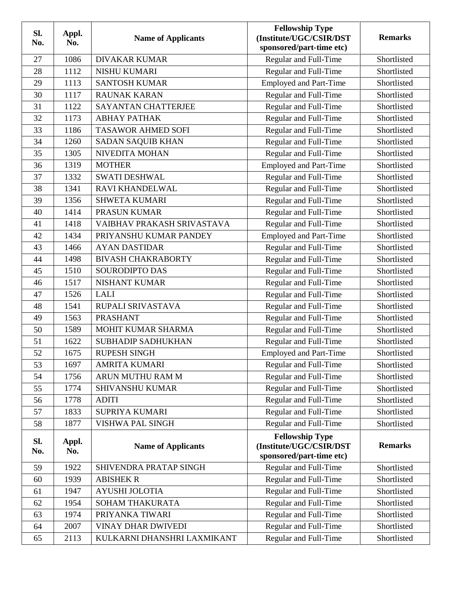| SI.<br>No. | Appl.<br>No. | <b>Name of Applicants</b>   | <b>Fellowship Type</b><br>(Institute/UGC/CSIR/DST<br>sponsored/part-time etc) | <b>Remarks</b> |
|------------|--------------|-----------------------------|-------------------------------------------------------------------------------|----------------|
| 27         | 1086         | <b>DIVAKAR KUMAR</b>        | Regular and Full-Time                                                         | Shortlisted    |
| 28         | 1112         | <b>NISHU KUMARI</b>         | Regular and Full-Time                                                         | Shortlisted    |
| 29         | 1113         | <b>SANTOSH KUMAR</b>        | <b>Employed and Part-Time</b>                                                 | Shortlisted    |
| 30         | 1117         | <b>RAUNAK KARAN</b>         | Regular and Full-Time                                                         | Shortlisted    |
| 31         | 1122         | SAYANTAN CHATTERJEE         | Regular and Full-Time                                                         | Shortlisted    |
| 32         | 1173         | <b>ABHAY PATHAK</b>         | Regular and Full-Time                                                         | Shortlisted    |
| 33         | 1186         | <b>TASAWOR AHMED SOFI</b>   | Regular and Full-Time                                                         | Shortlisted    |
| 34         | 1260         | SADAN SAQUIB KHAN           | Regular and Full-Time                                                         | Shortlisted    |
| 35         | 1305         | NIVEDITA MOHAN              | Regular and Full-Time                                                         | Shortlisted    |
| 36         | 1319         | <b>MOTHER</b>               | <b>Employed and Part-Time</b>                                                 | Shortlisted    |
| 37         | 1332         | <b>SWATI DESHWAL</b>        | Regular and Full-Time                                                         | Shortlisted    |
| 38         | 1341         | RAVI KHANDELWAL             | Regular and Full-Time                                                         | Shortlisted    |
| 39         | 1356         | <b>SHWETA KUMARI</b>        | Regular and Full-Time                                                         | Shortlisted    |
| 40         | 1414         | <b>PRASUN KUMAR</b>         | Regular and Full-Time                                                         | Shortlisted    |
| 41         | 1418         | VAIBHAV PRAKASH SRIVASTAVA  | Regular and Full-Time                                                         | Shortlisted    |
| 42         | 1434         | PRIYANSHU KUMAR PANDEY      | <b>Employed and Part-Time</b>                                                 | Shortlisted    |
| 43         | 1466         | <b>AYAN DASTIDAR</b>        | Regular and Full-Time                                                         | Shortlisted    |
| 44         | 1498         | <b>BIVASH CHAKRABORTY</b>   | Regular and Full-Time                                                         | Shortlisted    |
| 45         | 1510         | SOURODIPTO DAS              | Regular and Full-Time                                                         | Shortlisted    |
| 46         | 1517         | <b>NISHANT KUMAR</b>        | Regular and Full-Time                                                         | Shortlisted    |
| 47         | 1526         | <b>LALI</b>                 | Regular and Full-Time                                                         | Shortlisted    |
| 48         | 1541         | RUPALI SRIVASTAVA           | Regular and Full-Time                                                         | Shortlisted    |
| 49         | 1563         | <b>PRASHANT</b>             | Regular and Full-Time                                                         | Shortlisted    |
| 50         | 1589         | MOHIT KUMAR SHARMA          | Regular and Full-Time                                                         | Shortlisted    |
| 51         | 1622         | <b>SUBHADIP SADHUKHAN</b>   | Regular and Full-Time                                                         | Shortlisted    |
| 52         | 1675         | <b>RUPESH SINGH</b>         | <b>Employed and Part-Time</b>                                                 | Shortlisted    |
| 53         | 1697         | <b>AMRITA KUMARI</b>        | Regular and Full-Time                                                         | Shortlisted    |
| 54         | 1756         | ARUN MUTHU RAM M            | Regular and Full-Time                                                         | Shortlisted    |
| 55         | 1774         | <b>SHIVANSHU KUMAR</b>      | Regular and Full-Time                                                         | Shortlisted    |
| 56         | 1778         | <b>ADITI</b>                | Regular and Full-Time                                                         | Shortlisted    |
| 57         | 1833         | SUPRIYA KUMARI              | Regular and Full-Time                                                         | Shortlisted    |
| 58         | 1877         | VISHWA PAL SINGH            | Regular and Full-Time                                                         | Shortlisted    |
| Sl.<br>No. | Appl.<br>No. | <b>Name of Applicants</b>   | <b>Fellowship Type</b><br>(Institute/UGC/CSIR/DST<br>sponsored/part-time etc) | <b>Remarks</b> |
| 59         | 1922         | SHIVENDRA PRATAP SINGH      | Regular and Full-Time                                                         | Shortlisted    |
| 60         | 1939         | <b>ABISHEK R</b>            | Regular and Full-Time                                                         | Shortlisted    |
| 61         | 1947         | <b>AYUSHI JOLOTIA</b>       | Regular and Full-Time                                                         | Shortlisted    |
| 62         | 1954         | <b>SOHAM THAKURATA</b>      | Regular and Full-Time                                                         | Shortlisted    |
| 63         | 1974         | PRIYANKA TIWARI             | Regular and Full-Time                                                         | Shortlisted    |
| 64         | 2007         | <b>VINAY DHAR DWIVEDI</b>   | Regular and Full-Time                                                         | Shortlisted    |
| 65         | 2113         | KULKARNI DHANSHRI LAXMIKANT | Regular and Full-Time                                                         | Shortlisted    |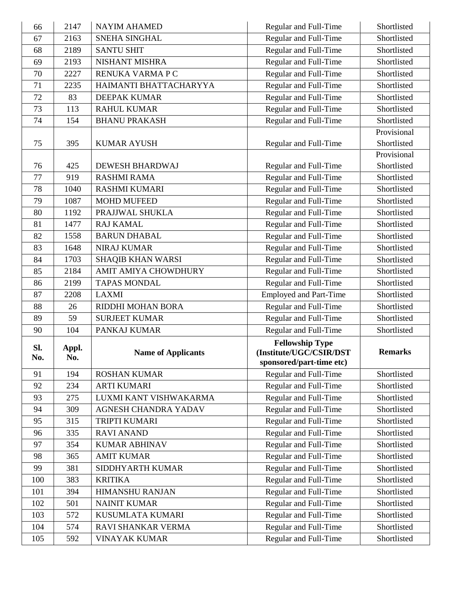| 66         | 2147         | <b>NAYIM AHAMED</b>       | Regular and Full-Time                                                         | Shortlisted                |
|------------|--------------|---------------------------|-------------------------------------------------------------------------------|----------------------------|
| 67         | 2163         | SNEHA SINGHAL             | Regular and Full-Time                                                         | Shortlisted                |
| 68         | 2189         | <b>SANTU SHIT</b>         | Regular and Full-Time                                                         | Shortlisted                |
| 69         | 2193         | NISHANT MISHRA            | Regular and Full-Time                                                         | Shortlisted                |
| 70         | 2227         | RENUKA VARMA P C          | Regular and Full-Time                                                         | Shortlisted                |
| 71         | 2235         | HAIMANTI BHATTACHARYYA    | Regular and Full-Time                                                         | Shortlisted                |
| 72         | 83           | <b>DEEPAK KUMAR</b>       | Regular and Full-Time                                                         | Shortlisted                |
| 73         | 113          | <b>RAHUL KUMAR</b>        | Regular and Full-Time                                                         | Shortlisted                |
| 74         | 154          | <b>BHANU PRAKASH</b>      | Regular and Full-Time                                                         | Shortlisted                |
|            |              |                           |                                                                               | Provisional                |
| 75         | 395          | <b>KUMAR AYUSH</b>        | Regular and Full-Time                                                         | Shortlisted                |
|            |              |                           |                                                                               | Provisional                |
| 76         | 425          | DEWESH BHARDWAJ           | Regular and Full-Time                                                         | Shortlisted                |
| 77         | 919          | <b>RASHMI RAMA</b>        | Regular and Full-Time                                                         | Shortlisted                |
| 78         | 1040         | <b>RASHMI KUMARI</b>      | Regular and Full-Time                                                         | Shortlisted                |
| 79         | 1087         | <b>MOHD MUFEED</b>        | Regular and Full-Time                                                         | Shortlisted                |
| 80         | 1192         | PRAJJWAL SHUKLA           | Regular and Full-Time                                                         | Shortlisted                |
| 81         | 1477         | <b>RAJ KAMAL</b>          | Regular and Full-Time                                                         | Shortlisted                |
| 82         | 1558         | <b>BARUN DHABAL</b>       | Regular and Full-Time                                                         | Shortlisted                |
| 83         | 1648         | <b>NIRAJ KUMAR</b>        | Regular and Full-Time                                                         | Shortlisted                |
| 84         | 1703         | <b>SHAQIB KHAN WARSI</b>  | Regular and Full-Time                                                         | Shortlisted                |
| 85         | 2184         | AMIT AMIYA CHOWDHURY      | Regular and Full-Time                                                         | Shortlisted                |
| 86         | 2199         | <b>TAPAS MONDAL</b>       | Regular and Full-Time                                                         | Shortlisted                |
| 87         | 2208         | <b>LAXMI</b>              | <b>Employed and Part-Time</b>                                                 | Shortlisted                |
| 88         | 26           | RIDDHI MOHAN BORA         | Regular and Full-Time                                                         | Shortlisted                |
| 89         | 59           | <b>SURJEET KUMAR</b>      | Regular and Full-Time                                                         | Shortlisted                |
| 90         | 104          | PANKAJ KUMAR              | Regular and Full-Time                                                         | Shortlisted                |
| SI.<br>No. | Appl.<br>No. | <b>Name of Applicants</b> | <b>Fellowship Type</b><br>(Institute/UGC/CSIR/DST<br>sponsored/part-time etc) | <b>Remarks</b>             |
| 91         | 194          | <b>ROSHAN KUMAR</b>       | Regular and Full-Time                                                         | Shortlisted                |
| 92         | 234          | <b>ARTI KUMARI</b>        | Regular and Full-Time                                                         | Shortlisted                |
| 93         | 275          | LUXMI KANT VISHWAKARMA    | Regular and Full-Time                                                         | Shortlisted                |
| 94         | 309          | AGNESH CHANDRA YADAV      | Regular and Full-Time                                                         | Shortlisted                |
| 95         | 315          | TRIPTI KUMARI             | Regular and Full-Time                                                         | Shortlisted                |
| 96         | 335          | <b>RAVI ANAND</b>         | Regular and Full-Time                                                         | Shortlisted                |
| 97         | 354          | <b>KUMAR ABHINAV</b>      | Regular and Full-Time                                                         | Shortlisted                |
| 98         | 365          | <b>AMIT KUMAR</b>         | Regular and Full-Time                                                         | Shortlisted                |
| 99         | 381          | SIDDHYARTH KUMAR          | Regular and Full-Time                                                         | Shortlisted                |
| 100        | 383          | <b>KRITIKA</b>            | Regular and Full-Time                                                         | Shortlisted                |
| 101        | 394          | HIMANSHU RANJAN           | Regular and Full-Time                                                         | Shortlisted                |
| 102        | 501          | <b>NAINIT KUMAR</b>       | Regular and Full-Time                                                         | Shortlisted                |
| 103        | 572          | KUSUMLATA KUMARI          | Regular and Full-Time                                                         | Shortlisted                |
|            |              |                           |                                                                               |                            |
| 104<br>105 | 574<br>592   | RAVI SHANKAR VERMA        | Regular and Full-Time<br>Regular and Full-Time                                | Shortlisted<br>Shortlisted |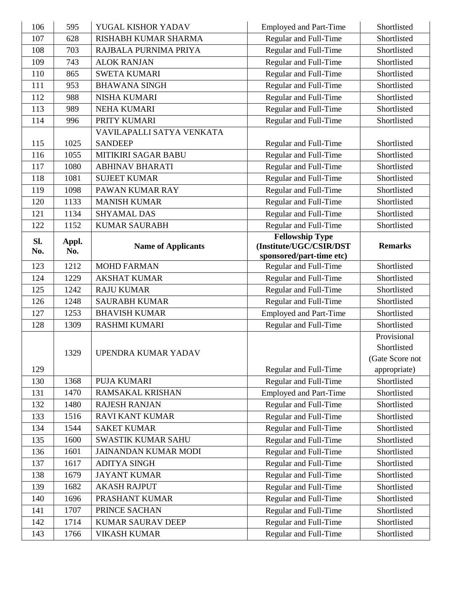| 106 | 595   | YUGAL KISHOR YADAV          | <b>Employed and Part-Time</b>                  | Shortlisted                |
|-----|-------|-----------------------------|------------------------------------------------|----------------------------|
| 107 | 628   | RISHABH KUMAR SHARMA        | Regular and Full-Time                          | Shortlisted                |
| 108 | 703   | RAJBALA PURNIMA PRIYA       | Regular and Full-Time                          | Shortlisted                |
| 109 | 743   | <b>ALOK RANJAN</b>          | Regular and Full-Time                          | Shortlisted                |
| 110 | 865   | <b>SWETA KUMARI</b>         | Regular and Full-Time                          | Shortlisted                |
| 111 | 953   | <b>BHAWANA SINGH</b>        | Regular and Full-Time                          | Shortlisted                |
| 112 | 988   | <b>NISHA KUMARI</b>         | Regular and Full-Time                          | Shortlisted                |
| 113 | 989   | <b>NEHA KUMARI</b>          | Regular and Full-Time                          | Shortlisted                |
| 114 | 996   | PRITY KUMARI                | Regular and Full-Time                          | Shortlisted                |
|     |       | VAVILAPALLI SATYA VENKATA   |                                                |                            |
| 115 | 1025  | <b>SANDEEP</b>              | Regular and Full-Time                          | Shortlisted                |
| 116 | 1055  | MITIKIRI SAGAR BABU         | Regular and Full-Time                          | Shortlisted                |
| 117 | 1080  | <b>ABHINAV BHARATI</b>      | Regular and Full-Time                          | Shortlisted                |
| 118 | 1081  | <b>SUJEET KUMAR</b>         | Regular and Full-Time                          | Shortlisted                |
| 119 | 1098  | PAWAN KUMAR RAY             | Regular and Full-Time                          | Shortlisted                |
| 120 | 1133  | <b>MANISH KUMAR</b>         | Regular and Full-Time                          | Shortlisted                |
| 121 | 1134  | <b>SHYAMAL DAS</b>          | Regular and Full-Time                          | Shortlisted                |
| 122 | 1152  | <b>KUMAR SAURABH</b>        | Regular and Full-Time                          | Shortlisted                |
| SI. | Appl. |                             | <b>Fellowship Type</b>                         |                            |
| No. | No.   | <b>Name of Applicants</b>   | (Institute/UGC/CSIR/DST                        | <b>Remarks</b>             |
|     |       |                             | sponsored/part-time etc)                       |                            |
| 123 | 1212  | <b>MOHD FARMAN</b>          | Regular and Full-Time                          | Shortlisted                |
| 124 | 1229  | <b>AKSHAT KUMAR</b>         | Regular and Full-Time                          | Shortlisted                |
| 125 | 1242  | <b>RAJU KUMAR</b>           | Regular and Full-Time                          | Shortlisted                |
| 126 | 1248  | <b>SAURABH KUMAR</b>        | Regular and Full-Time                          | Shortlisted                |
| 127 | 1253  | <b>BHAVISH KUMAR</b>        | <b>Employed and Part-Time</b>                  | Shortlisted                |
| 128 | 1309  | <b>RASHMI KUMARI</b>        | Regular and Full-Time                          | Shortlisted                |
|     |       |                             |                                                | Provisional                |
|     | 1329  | UPENDRA KUMAR YADAV         |                                                | Shortlisted                |
|     |       |                             |                                                | (Gate Score not            |
| 129 |       |                             | Regular and Full-Time                          | appropriate)               |
| 130 | 1368  | PUJA KUMARI                 | Regular and Full-Time                          | Shortlisted                |
| 131 | 1470  | RAMSAKAL KRISHAN            | <b>Employed and Part-Time</b>                  | Shortlisted                |
| 132 | 1480  | <b>RAJESH RANJAN</b>        | Regular and Full-Time                          | Shortlisted                |
| 133 | 1516  | <b>RAVI KANT KUMAR</b>      | Regular and Full-Time                          | Shortlisted                |
| 134 | 1544  | <b>SAKET KUMAR</b>          | Regular and Full-Time                          | Shortlisted                |
| 135 | 1600  | <b>SWASTIK KUMAR SAHU</b>   | Regular and Full-Time                          | Shortlisted                |
| 136 | 1601  | <b>JAINANDAN KUMAR MODI</b> | Regular and Full-Time                          | Shortlisted                |
| 137 | 1617  | <b>ADITYA SINGH</b>         | Regular and Full-Time                          | Shortlisted                |
| 138 | 1679  | <b>JAYANT KUMAR</b>         | Regular and Full-Time                          | Shortlisted                |
| 139 | 1682  | <b>AKASH RAJPUT</b>         | Regular and Full-Time                          | Shortlisted                |
| 140 | 1696  | PRASHANT KUMAR              | Regular and Full-Time                          | Shortlisted                |
| 141 | 1707  | PRINCE SACHAN               | Regular and Full-Time                          | Shortlisted                |
|     |       |                             |                                                |                            |
| 142 | 1714  | <b>KUMAR SAURAV DEEP</b>    | Regular and Full-Time<br>Regular and Full-Time | Shortlisted<br>Shortlisted |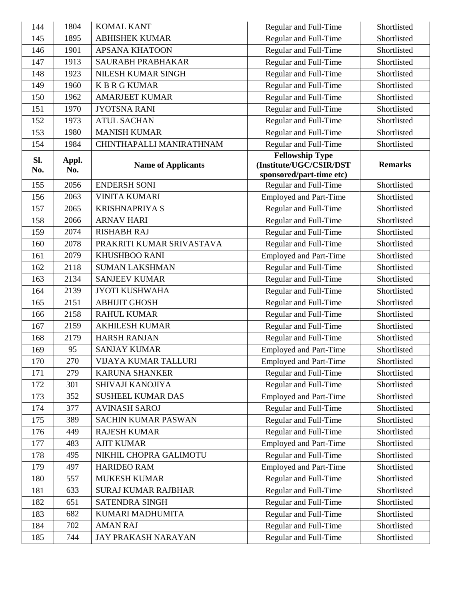| 144        | 1804         | <b>KOMAL KANT</b>          | Regular and Full-Time                                                         | Shortlisted    |
|------------|--------------|----------------------------|-------------------------------------------------------------------------------|----------------|
| 145        | 1895         | <b>ABHISHEK KUMAR</b>      | Regular and Full-Time                                                         | Shortlisted    |
| 146        | 1901         | <b>APSANA KHATOON</b>      | Regular and Full-Time                                                         | Shortlisted    |
| 147        | 1913         | SAURABH PRABHAKAR          | Regular and Full-Time                                                         | Shortlisted    |
| 148        | 1923         | NILESH KUMAR SINGH         | Regular and Full-Time                                                         | Shortlisted    |
| 149        | 1960         | <b>KBRGKUMAR</b>           | Regular and Full-Time                                                         | Shortlisted    |
| 150        | 1962         | <b>AMARJEET KUMAR</b>      | Regular and Full-Time                                                         | Shortlisted    |
| 151        | 1970         | <b>JYOTSNA RANI</b>        | Regular and Full-Time                                                         | Shortlisted    |
| 152        | 1973         | <b>ATUL SACHAN</b>         | Regular and Full-Time                                                         | Shortlisted    |
| 153        | 1980         | <b>MANISH KUMAR</b>        | Regular and Full-Time                                                         | Shortlisted    |
| 154        | 1984         | CHINTHAPALLI MANIRATHNAM   | Regular and Full-Time                                                         | Shortlisted    |
| SI.<br>No. | Appl.<br>No. | <b>Name of Applicants</b>  | <b>Fellowship Type</b><br>(Institute/UGC/CSIR/DST<br>sponsored/part-time etc) | <b>Remarks</b> |
| 155        | 2056         | <b>ENDERSH SONI</b>        | Regular and Full-Time                                                         | Shortlisted    |
| 156        | 2063         | <b>VINITA KUMARI</b>       | <b>Employed and Part-Time</b>                                                 | Shortlisted    |
| 157        | 2065         | <b>KRISHNAPRIYA S</b>      | Regular and Full-Time                                                         | Shortlisted    |
| 158        | 2066         | <b>ARNAV HARI</b>          | Regular and Full-Time                                                         | Shortlisted    |
| 159        | 2074         | <b>RISHABH RAJ</b>         | Regular and Full-Time                                                         | Shortlisted    |
| 160        | 2078         | PRAKRITI KUMAR SRIVASTAVA  | Regular and Full-Time                                                         | Shortlisted    |
| 161        | 2079         | KHUSHBOO RANI              | <b>Employed and Part-Time</b>                                                 | Shortlisted    |
| 162        | 2118         | <b>SUMAN LAKSHMAN</b>      | Regular and Full-Time                                                         | Shortlisted    |
| 163        | 2134         | <b>SANJEEV KUMAR</b>       | Regular and Full-Time                                                         | Shortlisted    |
| 164        | 2139         | <b>JYOTI KUSHWAHA</b>      | Regular and Full-Time                                                         | Shortlisted    |
| 165        | 2151         | <b>ABHIJIT GHOSH</b>       | Regular and Full-Time                                                         | Shortlisted    |
| 166        | 2158         | <b>RAHUL KUMAR</b>         | Regular and Full-Time                                                         | Shortlisted    |
| 167        | 2159         | <b>AKHILESH KUMAR</b>      | Regular and Full-Time                                                         | Shortlisted    |
| 168        | 2179         | <b>HARSH RANJAN</b>        | Regular and Full-Time                                                         | Shortlisted    |
| 169        | 95           | <b>SANJAY KUMAR</b>        | <b>Employed and Part-Time</b>                                                 | Shortlisted    |
| 170        | 270          | VIJAYA KUMAR TALLURI       | <b>Employed and Part-Time</b>                                                 | Shortlisted    |
| 171        | 279          | <b>KARUNA SHANKER</b>      | Regular and Full-Time                                                         | Shortlisted    |
| 172        | 301          | SHIVAJI KANOJIYA           | Regular and Full-Time                                                         | Shortlisted    |
| 173        | 352          | <b>SUSHEEL KUMAR DAS</b>   | <b>Employed and Part-Time</b>                                                 | Shortlisted    |
| 174        | 377          | <b>AVINASH SAROJ</b>       | Regular and Full-Time                                                         | Shortlisted    |
| 175        | 389          | SACHIN KUMAR PASWAN        | Regular and Full-Time                                                         | Shortlisted    |
| 176        | 449          | <b>RAJESH KUMAR</b>        | Regular and Full-Time                                                         | Shortlisted    |
| 177        | 483          | <b>AJIT KUMAR</b>          | <b>Employed and Part-Time</b>                                                 | Shortlisted    |
| 178        | 495          | NIKHIL CHOPRA GALIMOTU     | Regular and Full-Time                                                         | Shortlisted    |
| 179        | 497          | <b>HARIDEO RAM</b>         | <b>Employed and Part-Time</b>                                                 | Shortlisted    |
| 180        | 557          | <b>MUKESH KUMAR</b>        | Regular and Full-Time                                                         | Shortlisted    |
| 181        | 633          | <b>SURAJ KUMAR RAJBHAR</b> | Regular and Full-Time                                                         | Shortlisted    |
| 182        | 651          | SATENDRA SINGH             | Regular and Full-Time                                                         | Shortlisted    |
| 183        | 682          | KUMARI MADHUMITA           | Regular and Full-Time                                                         | Shortlisted    |
| 184        | 702          | <b>AMAN RAJ</b>            | Regular and Full-Time                                                         | Shortlisted    |
| 185        | 744          | JAY PRAKASH NARAYAN        | Regular and Full-Time                                                         | Shortlisted    |